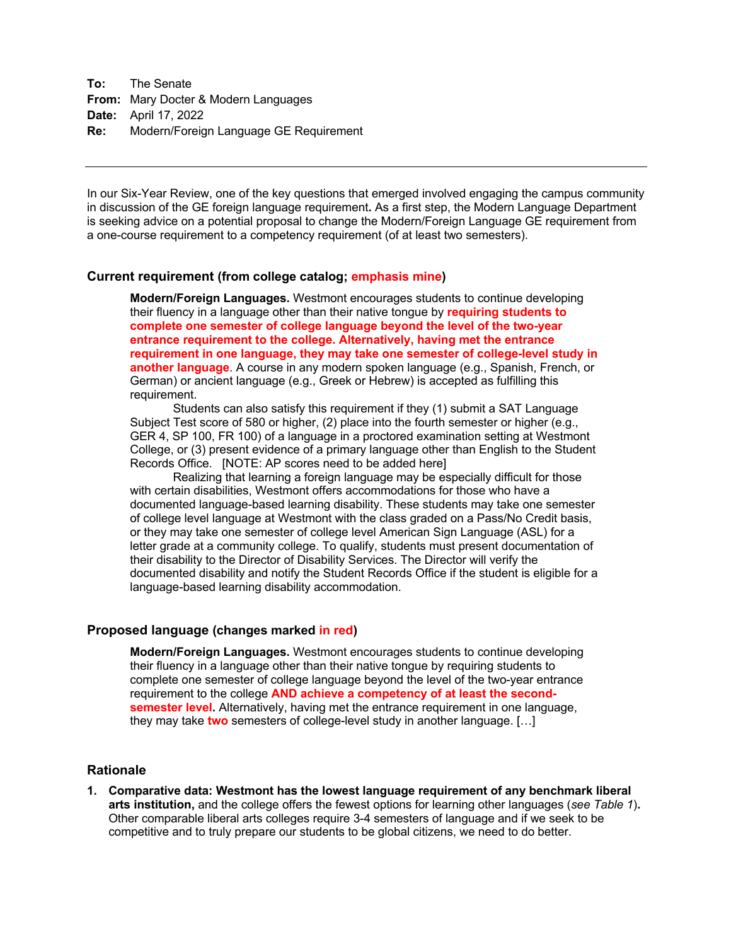**To:** The Senate **From:** Mary Docter & Modern Languages **Date:** April 17, 2022 **Re:** Modern/Foreign Language GE Requirement

In our Six-Year Review, one of the key questions that emerged involved engaging the campus community in discussion of the GE foreign language requirement**.** As a first step, the Modern Language Department is seeking advice on a potential proposal to change the Modern/Foreign Language GE requirement from a one-course requirement to a competency requirement (of at least two semesters).

## **Current requirement (from college catalog; emphasis mine)**

**Modern/Foreign Languages.** Westmont encourages students to continue developing their fluency in a language other than their native tongue by **requiring students to complete one semester of college language beyond the level of the two-year entrance requirement to the college. Alternatively, having met the entrance requirement in one language, they may take one semester of college-level study in another language**. A course in any modern spoken language (e.g., Spanish, French, or German) or ancient language (e.g., Greek or Hebrew) is accepted as fulfilling this requirement.

Students can also satisfy this requirement if they (1) submit a SAT Language Subject Test score of 580 or higher, (2) place into the fourth semester or higher (e.g., GER 4, SP 100, FR 100) of a language in a proctored examination setting at Westmont College, or (3) present evidence of a primary language other than English to the Student Records Office. [NOTE: AP scores need to be added here]

Realizing that learning a foreign language may be especially difficult for those with certain disabilities, Westmont offers accommodations for those who have a documented language-based learning disability. These students may take one semester of college level language at Westmont with the class graded on a Pass/No Credit basis, or they may take one semester of college level American Sign Language (ASL) for a letter grade at a community college. To qualify, students must present documentation of their disability to the Director of Disability Services. The Director will verify the documented disability and notify the Student Records Office if the student is eligible for a language-based learning disability accommodation.

## **Proposed language (changes marked in red)**

**Modern/Foreign Languages.** Westmont encourages students to continue developing their fluency in a language other than their native tongue by requiring students to complete one semester of college language beyond the level of the two-year entrance requirement to the college **AND achieve a competency of at least the secondsemester level.** Alternatively, having met the entrance requirement in one language, they may take **two** semesters of college-level study in another language. […]

## **Rationale**

**1. Comparative data: Westmont has the lowest language requirement of any benchmark liberal arts institution,** and the college offers the fewest options for learning other languages (*see Table 1*)**.**  Other comparable liberal arts colleges require 3-4 semesters of language and if we seek to be competitive and to truly prepare our students to be global citizens, we need to do better.